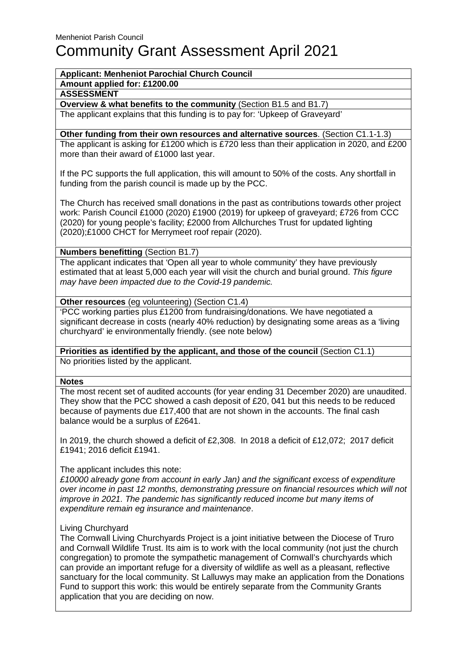### **Applicant: Menheniot Parochial Church Council**

**Amount applied for: £1200.00**

**ASSESSMENT**

**Overview & what benefits to the community** (Section B1.5 and B1.7)

The applicant explains that this funding is to pay for: 'Upkeep of Graveyard'

# **Other funding from their own resources and alternative sources**. (Section C1.1-1.3)

The applicant is asking for £1200 which is £720 less than their application in 2020, and £200 more than their award of £1000 last year.

If the PC supports the full application, this will amount to 50% of the costs. Any shortfall in funding from the parish council is made up by the PCC.

The Church has received small donations in the past as contributions towards other project work: Parish Council £1000 (2020) £1900 (2019) for upkeep of graveyard; £726 from CCC (2020) for young people's facility; £2000 from Allchurches Trust for updated lighting (2020);£1000 CHCT for Merrymeet roof repair (2020).

**Numbers benefitting** (Section B1.7)

The applicant indicates that 'Open all year to whole community' they have previously estimated that at least 5,000 each year will visit the church and burial ground. This figure may have been impacted due to the Covid-19 pandemic.

**Other resources** (eg volunteering) (Section C1.4)

'PCC working parties plus £1200 from fundraising/donations. We have negotiated a significant decrease in costs (nearly 40% reduction) by designating some areas as a 'living churchyard' ie environmentally friendly. (see note below)

**Priorities as identified by the applicant, and those of the council** (Section C1.1) No priorities listed by the applicant.

### **Notes**

The most recent set of audited accounts (for year ending 31 December 2020) are unaudited. They show that the PCC showed a cash deposit of £20, 041 but this needs to be reduced because of payments due £17,400 that are not shown in the accounts. The final cash balance would be a surplus of £2641.

In 2019, the church showed a deficit of £2,308. In 2018 a deficit of £12,072; 2017 deficit £1941; 2016 deficit £1941.

## The applicant includes this note:

 $£10000$  already gone from account in early Jan) and the significant excess of expenditure over income in past 12 months, demonstrating pressure on financial resources which will not improve in 2021. The pandemic has significantly reduced income but many items of expenditure remain eg insurance and maintenance.

### Living Churchyard

The Cornwall Living Churchyards Project is a joint initiative between the Diocese of Truro and Cornwall Wildlife Trust. Its aim is to work with the local community (not just the church congregation) to promote the sympathetic management of Cornwall's churchyards which can provide an important refuge for a diversity of wildlife as well as a pleasant, reflective sanctuary for the local community. St Lalluwys may make an application from the Donations Fund to support this work: this would be entirely separate from the Community Grants application that you are deciding on now.